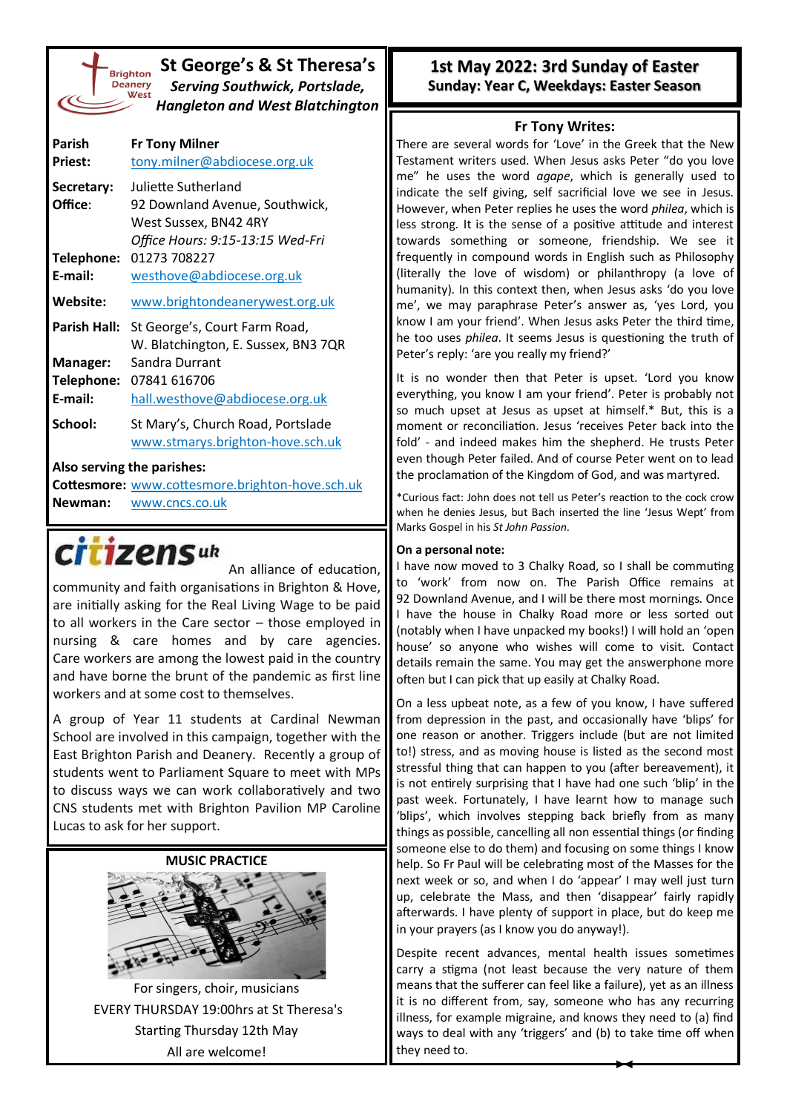| <b>Brighto</b> |
|----------------|
| <b>Deaner</b>  |
| We:            |
|                |
|                |

## **St George's & St Theresa's** *Serving Southwick, Portslade, Hangleton and West Blatchington*

| Parish<br><b>Priest:</b> | <b>Fr Tony Milner</b><br>tony.milner@abdiocese.org.uk                                                              |
|--------------------------|--------------------------------------------------------------------------------------------------------------------|
| Secretary:<br>Office:    | Juliette Sutherland<br>92 Downland Avenue, Southwick,<br>West Sussex, BN42 4RY<br>Office Hours: 9:15-13:15 Wed-Fri |
| Telephone:<br>E-mail:    | 01273 708227<br>westhove@abdiocese.org.uk                                                                          |
| Website:                 | www.brightondeanerywest.org.uk                                                                                     |
| Parish Hall:             | St George's, Court Farm Road,<br>W. Blatchington, E. Sussex, BN3 7QR                                               |
| Manager:<br>Telephone:   | Sandra Durrant<br>07841 616706                                                                                     |
| E-mail:                  | hall.westhove@abdiocese.org.uk                                                                                     |
| School:                  | St Mary's, Church Road, Portslade<br>www.stmarys.brighton-hove.sch.uk                                              |

#### **Also serving the parishes:**

**Cottesmore:** [www.cottesmore.brighton](http://www.cottesmore.brighton-hove.sch.uk)-hove.sch.uk **Newman:** [www.cncs.co.uk](https://www.cncs.co.uk/)

citizensuk

An alliance of education, community and faith organisations in Brighton & Hove, are initially asking for the Real Living Wage to be paid to all workers in the Care sector – those employed in nursing & care homes and by care agencies. Care workers are among the lowest paid in the country and have borne the brunt of the pandemic as first line workers and at some cost to themselves.

A group of Year 11 students at Cardinal Newman School are involved in this campaign, together with the East Brighton Parish and Deanery. Recently a group of students went to Parliament Square to meet with MPs to discuss ways we can work collaboratively and two CNS students met with Brighton Pavilion MP Caroline Lucas to ask for her support.

**MUSIC PRACTICE**



For singers, choir, musicians EVERY THURSDAY 19:00hrs at St Theresa's Starting Thursday 12th May All are welcome!

## **1st May 2022: 3rd Sunday of Easter Sunday: Year C, Weekdays: Easter Season**

### **Fr Tony Writes:**

There are several words for 'Love' in the Greek that the New Testament writers used. When Jesus asks Peter "do you love me" he uses the word *agape*, which is generally used to indicate the self giving, self sacrificial love we see in Jesus. However, when Peter replies he uses the word *philea*, which is less strong. It is the sense of a positive attitude and interest towards something or someone, friendship. We see it frequently in compound words in English such as Philosophy (literally the love of wisdom) or philanthropy (a love of humanity). In this context then, when Jesus asks 'do you love me', we may paraphrase Peter's answer as, 'yes Lord, you know I am your friend'. When Jesus asks Peter the third time, he too uses *philea*. It seems Jesus is questioning the truth of Peter's reply: 'are you really my friend?'

It is no wonder then that Peter is upset. 'Lord you know everything, you know I am your friend'. Peter is probably not so much upset at Jesus as upset at himself.\* But, this is a moment or reconciliation. Jesus 'receives Peter back into the fold' - and indeed makes him the shepherd. He trusts Peter even though Peter failed. And of course Peter went on to lead the proclamation of the Kingdom of God, and was martyred.

\*Curious fact: John does not tell us Peter's reaction to the cock crow when he denies Jesus, but Bach inserted the line 'Jesus Wept' from Marks Gospel in his *St John Passion*.

#### **On a personal note:**

I have now moved to 3 Chalky Road, so I shall be commuting to 'work' from now on. The Parish Office remains at 92 Downland Avenue, and I will be there most mornings. Once I have the house in Chalky Road more or less sorted out (notably when I have unpacked my books!) I will hold an 'open house' so anyone who wishes will come to visit. Contact details remain the same. You may get the answerphone more often but I can pick that up easily at Chalky Road.

On a less upbeat note, as a few of you know, I have suffered from depression in the past, and occasionally have 'blips' for one reason or another. Triggers include (but are not limited to!) stress, and as moving house is listed as the second most stressful thing that can happen to you (after bereavement), it is not entirely surprising that I have had one such 'blip' in the past week. Fortunately, I have learnt how to manage such 'blips', which involves stepping back briefly from as many things as possible, cancelling all non essential things (or finding someone else to do them) and focusing on some things I know help. So Fr Paul will be celebrating most of the Masses for the next week or so, and when I do 'appear' I may well just turn up, celebrate the Mass, and then 'disappear' fairly rapidly afterwards. I have plenty of support in place, but do keep me in your prayers (as I know you do anyway!).

Despite recent advances, mental health issues sometimes carry a stigma (not least because the very nature of them means that the sufferer can feel like a failure), yet as an illness it is no different from, say, someone who has any recurring illness, for example migraine, and knows they need to (a) find ways to deal with any 'triggers' and (b) to take time off when they need to.